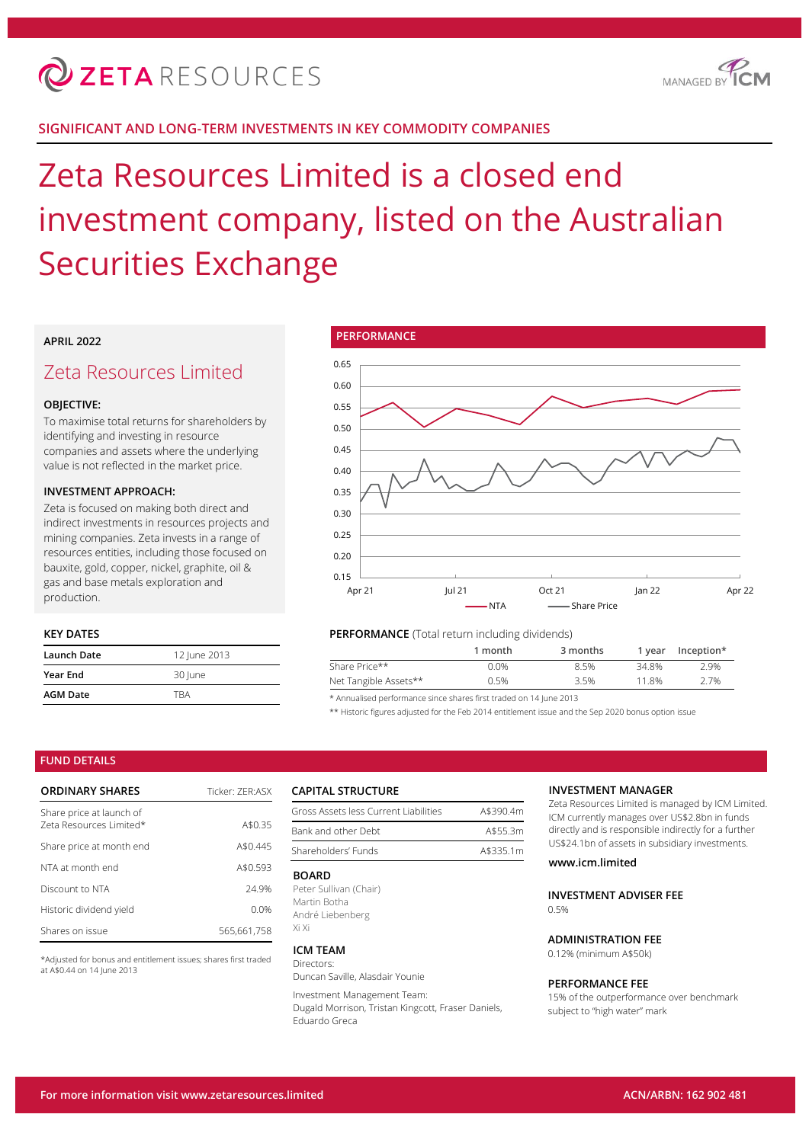

## **SIGNIFICANT AND LONG-TERM INVESTMENTS IN KEY COMMODITY COMPANIES**

# Zeta Resources Limited is a closed end investment company, listed on the Australian Securities Exchange

## **APRIL 2022**

## Zeta Resources Limited

#### **OBJECTIVE:**

To maximise total returns for shareholders by identifying and investing in resource companies and assets where the underlying value is not reflected in the market price.

#### **INVESTMENT APPROACH:**

Zeta is focused on making both direct and indirect investments in resources projects and mining companies. Zeta invests in a range of resources entities, including those focused on bauxite, gold, copper, nickel, graphite, oil & gas and base metals exploration and production.

## **KEY DATES**

| Launch Date     | 12 June 2013 |  |
|-----------------|--------------|--|
| <b>Year End</b> | 30 June      |  |
| <b>AGM Date</b> | TRA          |  |



#### **PERFORMANCE** (Total return including dividends)

|      |      | Inception*                                      |
|------|------|-------------------------------------------------|
| 0.0% | 8.5% | 2.9%                                            |
| 0.5% | 3.5% | 2.7%                                            |
|      |      | 3 months<br>1 month<br>1 vear<br>34.8%<br>11.8% |

\* Annualised performance since shares first traded on 14 June 2013

\*\* Historic figures adjusted for the Feb 2014 entitlement issue and the Sep 2020 bonus option issue

#### **FUND DETAILS**

| <b>ORDINARY SHARES</b>                              | Ticker: 7FR:ASX |
|-----------------------------------------------------|-----------------|
| Share price at launch of<br>Zeta Resources Limited* | A\$0.35         |
| Share price at month end                            | A\$0.445        |
| NTA at month end                                    | A\$0.593        |
| Discount to NTA                                     | 24 9%           |
| Historic dividend yield                             | 0.0%            |
| Shares on issue                                     | 565.661.758     |

\*Adjusted for bonus and entitlement issues; shares first traded at A\$0.44 on 14 June 2013

#### **CAPITAL STRUCTURE**

| Gross Assets less Current Liabilities | A\$390.4m |
|---------------------------------------|-----------|
| Bank and other Debt                   | A\$55.3m  |
| Shareholders' Funds                   | A\$335.1m |

#### **BOARD**

Peter Sullivan (Chair) Martin Botha André Liebenberg Xi Xi

#### **ICM TEAM**

Directors: Duncan Saville, Alasdair Younie

Investment Management Team:

Dugald Morrison, Tristan Kingcott, Fraser Daniels, Eduardo Greca

#### **INVESTMENT MANAGER**

Zeta Resources Limited is managed by ICM Limited. ICM currently manages over US\$2.8bn in funds directly and is responsible indirectly for a further US\$24.1bn of assets in subsidiary investments.

#### **www.icm.limited**

**INVESTMENT ADVISER FEE**  $0.5%$ 

## **ADMINISTRATION FEE**

0.12% (minimum A\$50k)

#### **PERFORMANCE FEE**

15% of the outperformance over benchmark subject to "high water" mark